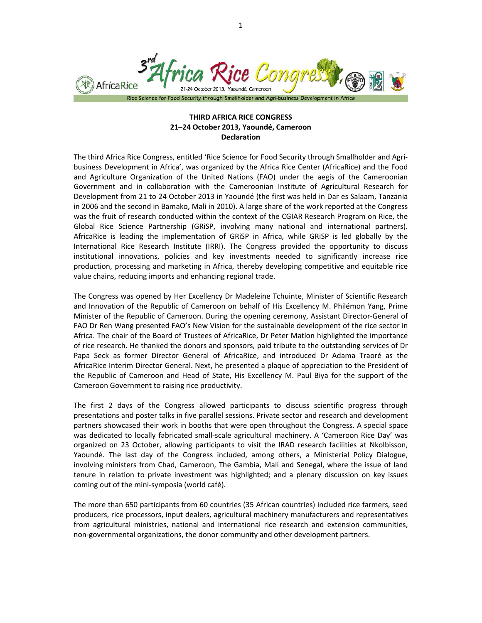

## **THIRD AFRICA RICE CONGRESS 21–24 October 2013, Yaoundé, Cameroon Declaration**

The third Africa Rice Congress, entitled 'Rice Science for Food Security through Smallholder and Agri‐ business Development in Africa', was organized by the Africa Rice Center (AfricaRice) and the Food and Agriculture Organization of the United Nations (FAO) under the aegis of the Cameroonian Government and in collaboration with the Cameroonian Institute of Agricultural Research for Development from 21 to 24 October 2013 in Yaoundé (the first was held in Dar es Salaam, Tanzania in 2006 and the second in Bamako, Mali in 2010). A large share of the work reported at the Congress was the fruit of research conducted within the context of the CGIAR Research Program on Rice, the Global Rice Science Partnership (GRiSP, involving many national and international partners). AfricaRice is leading the implementation of GRiSP in Africa, while GRiSP is led globally by the International Rice Research Institute (IRRI). The Congress provided the opportunity to discuss institutional innovations, policies and key investments needed to significantly increase rice production, processing and marketing in Africa, thereby developing competitive and equitable rice value chains, reducing imports and enhancing regional trade.

The Congress was opened by Her Excellency Dr Madeleine Tchuinte, Minister of Scientific Research and Innovation of the Republic of Cameroon on behalf of His Excellency M. Philémon Yang, Prime Minister of the Republic of Cameroon. During the opening ceremony, Assistant Director‐General of FAO Dr Ren Wang presented FAO's New Vision for the sustainable development of the rice sector in Africa. The chair of the Board of Trustees of AfricaRice, Dr Peter Matlon highlighted the importance of rice research. He thanked the donors and sponsors, paid tribute to the outstanding services of Dr Papa Seck as former Director General of AfricaRice, and introduced Dr Adama Traoré as the AfricaRice Interim Director General. Next, he presented a plaque of appreciation to the President of the Republic of Cameroon and Head of State, His Excellency M. Paul Biya for the support of the Cameroon Government to raising rice productivity.

The first 2 days of the Congress allowed participants to discuss scientific progress through presentations and poster talks in five parallel sessions. Private sector and research and development partners showcased their work in booths that were open throughout the Congress. A special space was dedicated to locally fabricated small-scale agricultural machinery. A 'Cameroon Rice Day' was organized on 23 October, allowing participants to visit the IRAD research facilities at Nkolbisson, Yaoundé. The last day of the Congress included, among others, a Ministerial Policy Dialogue, involving ministers from Chad, Cameroon, The Gambia, Mali and Senegal, where the issue of land tenure in relation to private investment was highlighted; and a plenary discussion on key issues coming out of the mini‐symposia (world café).

The more than 650 participants from 60 countries (35 African countries) included rice farmers, seed producers, rice processors, input dealers, agricultural machinery manufacturers and representatives from agricultural ministries, national and international rice research and extension communities, non‐governmental organizations, the donor community and other development partners.

1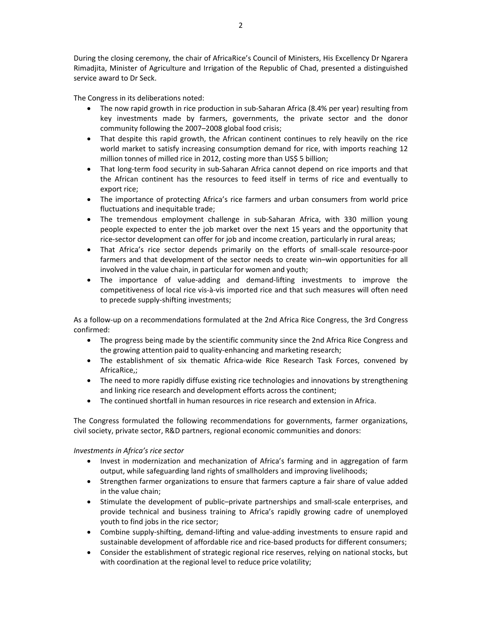During the closing ceremony, the chair of AfricaRice's Council of Ministers, His Excellency Dr Ngarera Rimadjita, Minister of Agriculture and Irrigation of the Republic of Chad, presented a distinguished service award to Dr Seck.

The Congress in its deliberations noted:

- The now rapid growth in rice production in sub-Saharan Africa (8.4% per year) resulting from key investments made by farmers, governments, the private sector and the donor community following the 2007–2008 global food crisis;
- That despite this rapid growth, the African continent continues to rely heavily on the rice world market to satisfy increasing consumption demand for rice, with imports reaching 12 million tonnes of milled rice in 2012, costing more than US\$ 5 billion;
- That long-term food security in sub-Saharan Africa cannot depend on rice imports and that the African continent has the resources to feed itself in terms of rice and eventually to export rice;
- The importance of protecting Africa's rice farmers and urban consumers from world price fluctuations and inequitable trade;
- The tremendous employment challenge in sub-Saharan Africa, with 330 million young people expected to enter the job market over the next 15 years and the opportunity that rice‐sector development can offer for job and income creation, particularly in rural areas;
- That Africa's rice sector depends primarily on the efforts of small‐scale resource‐poor farmers and that development of the sector needs to create win–win opportunities for all involved in the value chain, in particular for women and youth;
- The importance of value‐adding and demand‐lifting investments to improve the competitiveness of local rice vis‐à‐vis imported rice and that such measures will often need to precede supply‐shifting investments;

As a follow‐up on a recommendations formulated at the 2nd Africa Rice Congress, the 3rd Congress confirmed:

- The progress being made by the scientific community since the 2nd Africa Rice Congress and the growing attention paid to quality-enhancing and marketing research;
- The establishment of six thematic Africa-wide Rice Research Task Forces, convened by AfricaRice,;
- The need to more rapidly diffuse existing rice technologies and innovations by strengthening and linking rice research and development efforts across the continent;
- The continued shortfall in human resources in rice research and extension in Africa.

The Congress formulated the following recommendations for governments, farmer organizations, civil society, private sector, R&D partners, regional economic communities and donors:

## *Investments in Africa's rice sector*

- Invest in modernization and mechanization of Africa's farming and in aggregation of farm output, while safeguarding land rights of smallholders and improving livelihoods;
- Strengthen farmer organizations to ensure that farmers capture a fair share of value added in the value chain;
- Stimulate the development of public–private partnerships and small‐scale enterprises, and provide technical and business training to Africa's rapidly growing cadre of unemployed youth to find jobs in the rice sector;
- Combine supply-shifting, demand-lifting and value-adding investments to ensure rapid and sustainable development of affordable rice and rice-based products for different consumers;
- Consider the establishment of strategic regional rice reserves, relying on national stocks, but with coordination at the regional level to reduce price volatility;